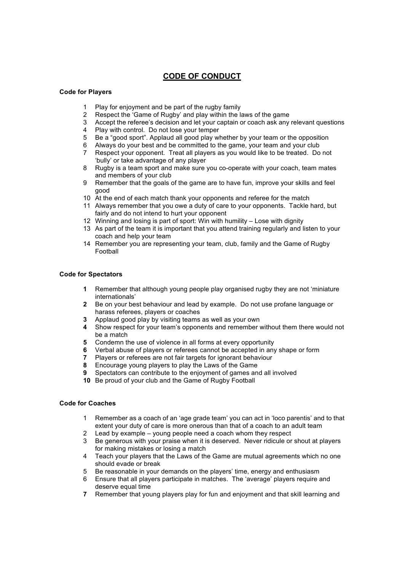# **CODE OF CONDUCT**

## **Code for Players**

- Play for enjoyment and be part of the rugby family
- Respect the 'Game of Rugby' and play within the laws of the game
- Accept the referee's decision and let your captain or coach ask any relevant questions
- Play with control. Do not lose your temper
- Be a "good sport". Applaud all good play whether by your team or the opposition
- 6 Always do your best and be committed to the game, your team and your club<br>7 Respect your opponent. Treat all players as you would like to be treated. Do
- Respect your opponent. Treat all players as you would like to be treated. Do not 'bully' or take advantage of any player
- Rugby is a team sport and make sure you co-operate with your coach, team mates and members of your club
- Remember that the goals of the game are to have fun, improve your skills and feel good
- At the end of each match thank your opponents and referee for the match
- Always remember that you owe a duty of care to your opponents. Tackle hard, but fairly and do not intend to hurt your opponent
- Winning and losing is part of sport: Win with humility Lose with dignity
- As part of the team it is important that you attend training regularly and listen to your coach and help your team
- Remember you are representing your team, club, family and the Game of Rugby Football

### **Code for Spectators**

- Remember that although young people play organised rugby they are not 'miniature internationals'
- Be on your best behaviour and lead by example. Do not use profane language or harass referees, players or coaches
- Applaud good play by visiting teams as well as your own
- Show respect for your team's opponents and remember without them there would not be a match
- Condemn the use of violence in all forms at every opportunity
- Verbal abuse of players or referees cannot be accepted in any shape or form **7** Players or referees are not fair targets for ignorant behaviour
- Players or referees are not fair targets for ignorant behaviour
- Encourage young players to play the Laws of the Game
- Spectators can contribute to the enjoyment of games and all involved
- Be proud of your club and the Game of Rugby Football

#### **Code for Coaches**

- Remember as a coach of an 'age grade team' you can act in 'loco parentis' and to that extent your duty of care is more onerous than that of a coach to an adult team
- Lead by example young people need a coach whom they respect
- Be generous with your praise when it is deserved. Never ridicule or shout at players for making mistakes or losing a match
- Teach your players that the Laws of the Game are mutual agreements which no one should evade or break
- Be reasonable in your demands on the players' time, energy and enthusiasm
- Ensure that all players participate in matches. The 'average' players require and deserve equal time
- Remember that young players play for fun and enjoyment and that skill learning and